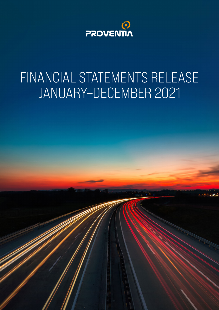

# FINANCIAL STATEMENTS RELEASE JANUARY–DECEMBER 2021

Proventia Group Oyj | Tietotie 1, 90460 Oulunsalo, Finland

 $T$ el.  $358$  20  $200$   $\mu$  in formula  $\mu$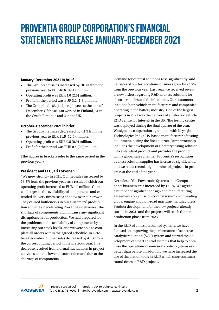# **PROVENTIA GROUP CORPORATION'S FINANCIAL STATEMENTS RELEASE JANUARY–DECEMBER 2021**

#### **January–December 2021 in brief**

- The Group's net sales increased by 18.3% from the previous year to EUR 46.6 (39.4) million.
- Operating profit was EUR 4.0 (2.6) million.
- Profit for the period was EUR 3.2 (1.8) million.
- The Group had 163 (142) employees at the end of December. Of these, 130 worked in Finland, 31 in the Czech Republic and 2 in the UK.

#### **October–December 2021 in brief**

- The Group's net sales decreased by 4.1% from the previous year to EUR 11.5 (12.0) million.
- Operating profit was EUR 0.5 (0.9) million.
- Profit for the period was EUR 0.4 (0.9) million.

(The figures in brackets refer to the same period in the previous year.)

#### **President and CEO Jari Lotvonen:**

"We grew strongly in 2021. Our net sales increased by 18.3% from the previous year, as a result of which our operating profit increased to EUR 4.0 million. Global challenges in the availability of components and extended delivery times cast a shadow over our growth. They caused bottlenecks in our customers' production activities, decelerating Proventia's deliveries. The shortage of components did not cause any significant disruptions in our production. We had prepared for the problems in the availability of components by increasing our stock levels, and we were able to complete all orders within the agreed schedule. In October–December, our net sales decreased by 4.1% from the corresponding period in the previous year. This decrease resulted from normal fluctuations in project activities and the lower customer demand due to the shortage of components.

Demand for our test solutions rose significantly, and net sales of our test solutions business grew by 23.5% from the previous year. Last year, we received several new orders regarding R&D and test solutions for electric vehicles and their batteries. Our customers included both vehicle manufacturers and companies operating in the battery industry. One of the largest projects in 2021 was the delivery of an electric vehicle R&D centre for Intertek in the UK. The testing centre was deployed during the final quarter of the year. We signed a cooperation agreement with Keysight Technologies Inc., a US-based manufacturer of testing equipment, during the final quarter. Our partnership includes the development of a battery testing solution into a standard product and provides the product with a global sales channel. Proventia's recognition as a test solution supplier has increased significantly, and we had a record-high number of projects in progress at the end of the year.

Net sales of the Powertrain Systems and Components business area increased by 17.1%. We agreed a number of significant design and manufacturing agreements on emission control systems with leading global engine and non-road machine manufacturers. Product development for the new projects already started in 2021, and the projects will reach the serial production phase from 2023.

In the R&D of emission control systems, we have focused on improving the performance of selective catalytic reduction (SCR) system and started the development of smart control systems that help to optimise the operations of emission control systems even better than before. In addition, we have increased the use of simulation tools in R&D which shortens turnaround times in R&D projects.

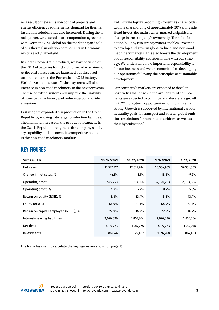As a result of new emission control projects and energy efficiency requirements, demand for thermal insulation solutions has also increased. During the final quarter, we entered into a cooperation agreement with German C2M Global on the marketing and sale of our thermal insulation components in Germany, Austria and Switzerland.

In electric powertrain products, we have focused on the R&D of batteries for hybrid non-road machinery. At the end of last year, we launched our first product on the market, the Proventia ePRO48 battery. We believe that the use of hybrid systems will also increase in non-road machinery in the next few years. The use of hybrid systems will improve the usability of non-road machinery and reduce carbon dioxide emissions.

Last year, we expanded our production in the Czech Republic by moving into larger production facilities. The manifold increase in the production capacity in the Czech Republic strengthens the company's delivery capability and improves its competitive position in the non-road machinery markets.

EAB Private Equity becoming Proventia's shareholder with its shareholding of approximately 20% alongside Head Invest, the main owner, marked a significant change in the company's ownership. The solid foundation built by two strong owners enables Proventia to develop and grow in global vehicle and non-road machinery markets. This also boosts the development of our responsibility activities in line with our strategy. We understand how important responsibility is for our business and we are committed to developing our operations following the principles of sustainable development.

Our company's markets are expected to develop positively. Challenges in the availability of components are expected to continue and decelerate growth in 2022. Long-term opportunities for growth remain strong. Growth is supported by international carbon neutrality goals for transport and stricter global emission restrictions for non-road machines, as well as their hybridisation."

#### **KEY FIGURES**

| <b>Sums in EUR</b>                   | 10-12/2021   | 10-12/2020   | $1 - 12/2021$ | $1 - 12/2020$ |
|--------------------------------------|--------------|--------------|---------------|---------------|
| Net sales                            | 11,527,717   | 12,017,284   | 46,554,953    | 39,351,805    |
| Change in net sales, %               | $-4.1%$      | 8.1%         | 18.3%         | $-7.2%$       |
| Operating profit                     | 545,293      | 923,564      | 4,040,233     | 2,603,584     |
| Operating profit, %                  | 4.7%         | 7.7%         | 8.7%          | 6.6%          |
| Return on equity (ROE), %            | 18.8%        | 13.4%        | 18.8%         | 13.4%         |
| Equity ratio, %                      | 64.9%        | 53.1%        | 64.9%         | 53.1%         |
| Return on capital employed (ROCE), % | 22.9%        | 16.7%        | 22.9%         | 16.7%         |
| Interest-bearing liabilities         | 2,076,596    | 4,816,764    | 2,076,596     | 4,816,764     |
| Net debt                             | $-4,177,233$ | $-1,407,278$ | $-4,177,233$  | $-1,407,278$  |
| Investments                          | 1,086,644    | 29,462       | 1,397,768     | 814,483       |

The formulas used to calculate the key figures are shown on page 13.

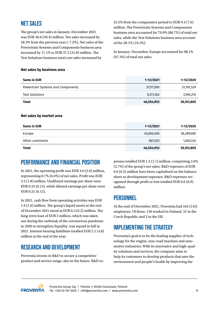#### **NET SALES**

The group's net sales in January–December 2021 was EUR 46.6 (39.4) million. Net sales increased by 18.3% from the previous year (-7.2%). Net sales of the Powertrain Systems and Components business area increased by 17.1% to EUR 37.2 (31.8) million. The Test Solutions business area's net sales increased by

23.5% from the comparative period to EUR 9.4 (7.6) million. The Powertrain Systems and Components business area accounted for 79.9% (80.7%) of total net sales, while the Test Solutions business area accounted for 20.1% (19.3%).

In January–December, Europe accounted for 98.1% (97.3%) of total net sales.

#### **Net sales by business area**

| <b>Sums in EUR</b>                | $1 - 12 / 2021$ | 1-12/2020     |
|-----------------------------------|-----------------|---------------|
| Powertrain Systems and Components | 37,177,590      | 31,761,529    |
| <b>Test Solutions</b>             | 9,377,362       | 7,590,276     |
| <b>Total</b>                      | 46,554,953      | 39,351,805    |
| Net sales by market area          |                 |               |
| <b>Sums in EUR</b>                | $1 - 12 / 2021$ | $1 - 12/2020$ |
| Europe                            | 45,693,400      | 38,289,685    |

Other continents **861,553** 1,062,120

**Total 46,554,953 39,351,805**

#### **PERFORMANCE AND FINANCIAL POSITION**

In 2021, the operating profit was EUR 4.0 (2.6) million, representing 8.7% (6.6%) of net sales. Profit was EUR 3.2 (1.8) million. Undiluted earnings per share were EUR 0.23 (0.13), while diluted earnings per share were EUR 0.21 (0.12).

In 2021, cash flow from operating activities was EUR 1.9 (1.6) million. The group's liquid assets at the end of December 2021 stood at EUR 6.3 (6.2) million. The long-term loan of EUR 2 million, which was taken out during the outbreak of the coronavirus pandemic in 2020 to strengthen liquidity, was repaid in full in 2021. Interest-bearing liabilities totalled EUR 2.1 (4.8) million at the end of the year.

#### **RESEARCH AND DEVELOPMENT**

Proventia invests in R&D to secure a competitive product and service range, also in the future. R&D ex-

penses totalled EUR 1.2 (1.1) million, comprising 2.6% (2.7%) of the group's net sales. R&D expenses of EUR 0.6 (0.2) million have been capitalised on the balance sheet as development expenses. R&D expenses recognised through profit or loss totalled EUR 0.6 (0.9) million.

#### **PERSONNEL**

At the end of December 2021, Proventia had 163 (142) employees. Of these, 130 worked in Finland, 31 in the Czech Republic and 2 in the UK.

#### **IMPLEMENTING THE STRATEGY**

Proventia's goal is to be the leading supplier of technology for the engine, non-road machine and automotive industries. With its innovative and high-quality solutions and services, the company aims to help its customers to develop products that save the environment and people's health by improving the

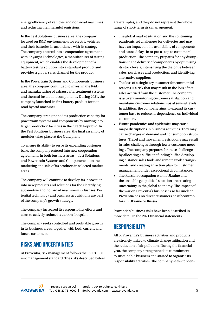energy efficiency of vehicles and non-road machines and reducing their harmful emissions.

In the Test Solutions business area, the company focused on R&D environments for electric vehicles and their batteries in accordance with its strategy. The company entered into a cooperation agreement with Keysight Technologies, a manufacturer of testing equipment, which enables the development of a battery testing solution into a standard product and provides a global sales channel for the product.

In the Powertrain Systems and Components business area, the company continued to invest in the R&D and manufacturing of exhaust aftertreatment systems and thermal insulation components. During 2021, the company launched its first battery product for nonroad hybrid machines.

The company strengthened its production capacity for powertrain systems and components by moving into larger production facilities in the Czech Republic. In the Test Solutions business area, the final assembly of modules takes place at the Oulu plant.

To ensure its ability to serve its expanding customer base, the company entered into new cooperation agreements in both business areas – Test Solutions, and Powertrain Systems and Components – on the marketing and sale of its products in selected market areas.

The company will continue to develop its innovation into new products and solutions for the electrifying automotive and non-road machinery industries. Potential technology and business acquisitions are part of the company's growth strategy.

The company increased its responsibility efforts and aims to actively reduce its carbon footprint.

The company seeks controlled and profitable growth in its business areas, together with both current and future customers.

#### **RISKS AND UNCERTAINTIES**

At Proventia, risk management follows the ISO 31000 risk management standard. The risks described below are examples, and they do not represent the whole range of short-term risk management.

- The global market situation and the continuing pandemic set challenges for deliveries and may have an impact on the availability of components, and cause delays in or put a stop to customers' production. The company prepares for any disruptions in the delivery of components by optimising its stock levels, intensifying the dialogue between sales, purchases and production, and identifying alternative suppliers.
- The loss of a single key customer for commercial reasons is a risk that may result in the loss of net sales accrued from the customer. The company is actively monitoring customer satisfaction and maintains customer relationships at several levels. In addition, the company aims to expand its customer base to reduce its dependence on individual customers.
- Future pandemics and epidemics may cause major disruptions in business activities. They may cause changes in demand and consumption structures. Travel and movement restrictions may result in sales challenges through fewer customer meetings. The company prepares for these challenges by allocating a sufficient funding buffer, developing distance sales tools and remote work arrangements, and creating an action plan for customer management under exceptional circumstances.
- The Russian occupation war in Ukraine and the unstable geopolitical situation are creating uncertainty in the global economy. The impact of the war on Proventia's business is so far unclear. Proventia has no direct customers or subcontractors in Ukraine or Russia.

Proventia's business risks have been described in more detail in the 2021 financial statements.

#### **RESPONSIBILITY**

All of Proventia's business activities and products are strongly linked to climate change mitigation and the reduction of air pollution. During the financial year, the company strengthened its commitment to sustainable business and started to organise its responsibility activities. The company seeks to iden-

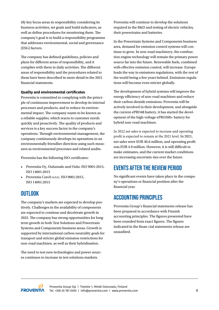tify key focus areas in responsibility considering its business activities, set goals and build indicators, as well as define procedures for monitoring them. The company's goal is to build a responsibility programme that addresses environmental, social and governance (ESG) factors.

The company has defined guidelines, policies and plans for different areas of responsibility, and it complies with them in daily activities. The different areas of responsibility and the procedures related to them have been described in more detail in the 2021 financial statements.

#### **Quality and environmental certificates**

Proventia is committed to complying with the principle of continuous improvement to develop its internal processes and products, and to reduce its environmental impact. The company wants to be known as a reliable supplier, which reacts to customer needs quickly and proactively. The quality of products and services is a key success factor in the company's operations. Through environmental management, the company continuously develops its operations in an environmentally friendlier direction using such measures as environmental processes and related audits.

Proventia has the following ISO certificates:

- Proventia Oy, Oulunsalo and Oulu: ISO 9001:2015, ISO 14001:2015
- Proventia Czech s.r.o.: ISO 9001:2015, ISO 14001:2015

#### **OUTLOOK**

The company's markets are expected to develop positively. Challenges in the availability of components are expected to continue and decelerate growth in 2022. The company has strong opportunities for longterm growth in both Test Solutions and Powertrain Systems and Components business areas. Growth is supported by international carbon neutrality goals for transport and stricter global emission restrictions for non-road machines, as well as their hybridisation.

The need to test new technologies and power sources continues to increase in test solutions markets.

Proventia will continue to develop the solutions required in the R&D and testing of electric vehicles, their powertrains and batteries.

In the Powertrain Systems and Components business area, demand for emission control systems will continue to grow. In non-road machinery, the combustion engine technology will remain the primary power source far into the future. Renewable fuels, combined with effective emission control, will increase. Europe leads the way in emissions regulations, with the rest of the world being a few years behind. Emissions regulations will become even stricter globally.

The development of hybrid systems will improve the energy efficiency of non-road machines and reduce their carbon dioxide emissions. Proventia will be actively involved in their development, and alongside the current ePRO48 battery, it has started the development of the high-voltage ePRO500+ battery for hybrid non-road machines.

In 2022 net sales is expected to increase and operating profit is expected to remain at the 2021 level. In 2021, net sales were EUR 46.6 million, and operating profit was EUR 4.0 million. However, it is still difficult to make estimates, and the current market conditions are increasing uncertain-ties over the future.

#### **EVENTS AFTER THE REVIEW PERIOD**

No significant events have taken place in the company's operations or financial position after the financial year.

#### **ACCOUNTING PRINCIPLES**

Proventia Group's financial statements release has been prepared in accordance with Finnish accounting principles. The figures presented have been rounded from exact figures. The figures indicated in the finan-cial statements release are unaudited.

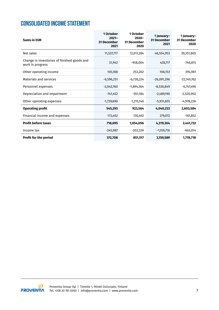### **CONSOLIDATED INCOME STATEMENT**

| <b>Sums in EUR</b>                                              | 1 October<br>$2021 -$<br><b>31 December</b><br>2021 | 1 October<br>$2020 -$<br><b>31 December</b><br>2020 | 1 January-<br><b>31 December</b><br>2021 | 1 January-<br><b>31 December</b><br>2020 |
|-----------------------------------------------------------------|-----------------------------------------------------|-----------------------------------------------------|------------------------------------------|------------------------------------------|
| Net sales                                                       | 11,527,717                                          | 12,017,284                                          | 46,554,953                               | 39,351,805                               |
| Change in inventories of finished goods and<br>work in progress | 31,942                                              | $-958,004$                                          | 428,117                                  | -746,815                                 |
| Other operating income                                          | 105,188                                             | 253,202                                             | 106,153                                  | 394,981                                  |
| <b>Materials and services</b>                                   | $-6,596,251$                                        | $-6,728,224$                                        | $-26,091,296$                            | -22,149,762                              |
| Personnel expenses                                              | $-2,042,160$                                        | -1,894,364                                          | $-8,536,849$                             | $-6,747,496$                             |
| Depreciation and impairment                                     | $-741,452$                                          | $-551,184$                                          | $-2,489,190$                             | $-2,520,902$                             |
| Other operating expenses                                        | $-1,739,690$                                        | $-1,215,146$                                        | $-5,931,655$                             | $-4,978,226$                             |
| <b>Operating profit</b>                                         | 545,293                                             | 923,564                                             | 4,040,233                                | 2,603,584                                |
| Financial income and expenses                                   | 173,402                                             | 130,492                                             | 279,072                                  | $-161,852$                               |
| <b>Profit before taxes</b>                                      | 718,695                                             | 1,054,056                                           | 4,319,304                                | 2,441,732                                |
| Income tax                                                      | $-345,987$                                          | $-202,539$                                          | $-1,159,716$                             | $-663,014$                               |
| <b>Profit for the period</b>                                    | 372,708                                             | 851,517                                             | 3,159,589                                | 1,778,718                                |

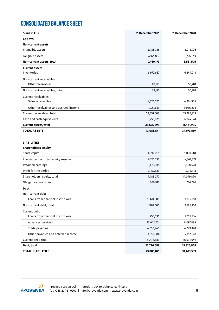# **CONSOLIDATED BALANCE SHEET**

| <b>Sums in EUR</b>                   | 31 December 2021 | <b>31 December 2020</b> |
|--------------------------------------|------------------|-------------------------|
| <b>ASSETS</b>                        |                  |                         |
| <b>Non-current assets</b>            |                  |                         |
| Intangible assets                    | 2,488,316        | 3,013,976               |
| Tangible assets                      | 4,971,857        | 5,537,619               |
| Non-current assets, total            | 7,460,173        | 8,551,595               |
| <b>Current assets</b>                |                  |                         |
| Inventories                          | 6,972,687        | 6,549,013               |
| Non-current receivables              |                  |                         |
| Other receivables                    | 48,173           | 50,781                  |
| Non-current receivables, total       | 48,173           | 50,781                  |
| <b>Current receivables</b>           |                  |                         |
| Sales receivables                    | 4,626,370        | 4,261,905               |
| Other receivables and accrued income | 17,724,639       | 9,036,203               |
| Current receivables, total           | 22,351,008       | 13,298,109              |
| Cash and cash equivalents            | 6,253,829        | 6,224,041               |
| <b>Current assets, total</b>         | 35,625,698       | 26,121,944              |
| <b>TOTAL ASSETS</b>                  | 43,085,871       | 34,673,539              |
|                                      |                  |                         |
| <b>LIABILITIES</b>                   |                  |                         |
| Shareholders' equity                 |                  |                         |
| Share capital                        | 1,090,281        | 1,090,281               |
| Invested unrestricted equity reserve | 6,762,795        | 4,562,371               |
| Retained earnings                    | 8,475,605        | 6,668,520               |
| Profit for the period                | 3,159,589        | 1,778,718               |
| Shareholders' equity, total          | 19,488,270       | 14,099,890              |
| Obligatory provisions                | 800,912          | 746,790                 |
| <b>Debt</b>                          |                  |                         |
| Non-current debt                     |                  |                         |
| Loans from financial institutions    | 1,320,000        | 3,795,210               |
| Non-current debt, total              | 1,320,000        | 3,795,210               |
| Current debt                         |                  |                         |
| Loans from financial institutions    | 756,596          | 1,021,554               |
| Advances received                    | 13,042,761       | 8,097,889               |
| Trade payables                       | 4,658,948        | 4,799,328               |
| Other payables and deferred income   | 3,018,384        | 2,112,878               |
| Current debt, total                  | 21,476,689       | 16,031,649              |
| Debt, total                          | 22,796,689       | 19,826,859              |
| <b>TOTAL LIABILITIES</b>             | 43,085,871       | 34,673,539              |

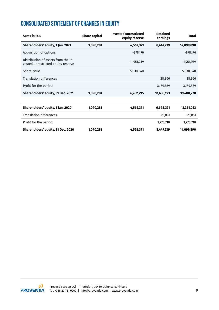# **CONSOLIDATED STATEMENT OF CHANGES IN EQUITY**

| <b>Sums in EUR</b>                                                        | <b>Share capital</b> | <b>Invested unrestricted</b><br>equity reserve | <b>Retained</b><br>earnings | <b>Total</b> |
|---------------------------------------------------------------------------|----------------------|------------------------------------------------|-----------------------------|--------------|
| Shareholders' equity, 1 Jan. 2021                                         | 1,090,281            | 4,562,371                                      | 8,447,239                   | 14,099,890   |
| Acquisition of options                                                    |                      | $-878,176$                                     |                             | $-878,176$   |
| Distribution of assets from the in-<br>vested unrestricted equity reserve |                      | $-1,951,939$                                   |                             | $-1,951,939$ |
| Share issue                                                               |                      | 5,030,540                                      |                             | 5,030,540    |
| <b>Translation differences</b>                                            |                      |                                                | 28,366                      | 28,366       |
| Profit for the period                                                     |                      |                                                | 3,159,589                   | 3,159,589    |
| Shareholders' equity, 31 Dec. 2021                                        | 1,090,281            | 6,762,795                                      | 11,635,193                  | 19,488,270   |

| Shareholders' equity, 1 Jan. 2020  | 1,090,281 | 4,562,371 | 6,698,371 | 12,351,023 |
|------------------------------------|-----------|-----------|-----------|------------|
| <b>Translation differences</b>     |           |           | $-29.851$ | $-29,851$  |
| Profit for the period              |           |           | 1,778,718 | 1,778,718  |
| Shareholders' equity, 31 Dec. 2020 | 1,090,281 | 4,562,371 | 8,447,239 | 14,099,890 |

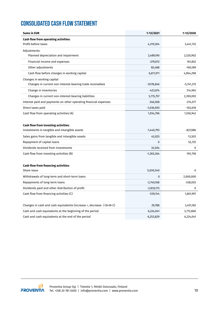# **CONSOLIDATED CASH FLOW STATEMENT**

| <b>Sums in EUR</b>                                                                  | 1-12/2021    | 1-12/2020    |
|-------------------------------------------------------------------------------------|--------------|--------------|
| Cash flow from operating activities:                                                |              |              |
| Profit before taxes                                                                 | 4,319,304    | 2,441,732    |
| Adjustments:                                                                        |              |              |
| Planned depreciation and impairment                                                 | 2,489,190    | 2,520,902    |
| Financial income and expenses                                                       | $-279,072$   | 161,852      |
| Other adjustments                                                                   | 82,488       | $-160,189$   |
| Cash flow before changes in working capital                                         | 6,611,911    | 4,964,298    |
| Changes in working capital                                                          |              |              |
| Changes in current non-interest-bearing trade receivables                           | $-9,178,846$ | $-5,741,215$ |
| Change in inventories                                                               | $-423,674$   | 314,963      |
| Changes in current non-interest-bearing liabilities                                 | 5,715,757    | 2,390,092    |
| Interest paid and payments on other operating financial expenses                    | 246,568      | $-214,577$   |
| Direct taxes paid                                                                   | $-1,036,920$ | $-162,618$   |
| Cash flow from operating activities (A)                                             | 1,934,796    | 1,550,942    |
|                                                                                     |              |              |
| <b>Cash flow from investing activities:</b>                                         |              |              |
| Investments in tangible and intangible assets                                       | $-1,440,793$ | $-827,986$   |
| Sales gains from tangible and intangible assets                                     | 43,025       | 13,503       |
| Repayment of capital loans                                                          | 0            | 52,725       |
| Dividends received from investments                                                 | 32,504       | 0            |
| Cash flow from investing activities (B)                                             | $-1,365,264$ | $-761,758$   |
|                                                                                     |              |              |
| Cash flow from financing activities:                                                |              |              |
| Share issue                                                                         | 5,030,540    | $\mathbf{0}$ |
| Withdrawals of long-term and short-term loans                                       | 0            | 2,000,000    |
| Repayments of long-term loans                                                       | $-2,740,168$ | -338,003     |
| Dividends paid and other distribution of profit                                     | $-2,830,115$ | 0            |
| Cash flow from financing activities (C)                                             | $-539,744$   | 1,661,997    |
|                                                                                     |              |              |
| Changes in cash and cash equivalents (increase $+$ , decrease $-$ ) (A $+$ B $+$ C) | 29,788       | 2,451,182    |
| Cash and cash equivalents at the beginning of the period                            | 6,224,041    | 3,772,860    |
| Cash and cash equivalents at the end of the period                                  | 6,253,829    | 6,224,041    |

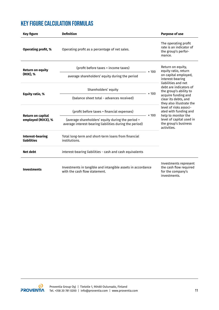# **KEY FIGURE CALCULATION FORMULAS**

| <b>Key figure</b>                                                                                                  | <b>Definition</b>                                                                                            |                                                                                      | <b>Purpose of use</b>                                                                                                                                                                                                |  |
|--------------------------------------------------------------------------------------------------------------------|--------------------------------------------------------------------------------------------------------------|--------------------------------------------------------------------------------------|----------------------------------------------------------------------------------------------------------------------------------------------------------------------------------------------------------------------|--|
| <b>Operating profit, %</b>                                                                                         | Operating profit as a percentage of net sales.                                                               |                                                                                      | The operating profit<br>rate is an indicator of<br>the group's perfor-<br>mance.                                                                                                                                     |  |
| <b>Return on equity</b>                                                                                            | (profit before taxes + income taxes)                                                                         | $\times 100$                                                                         | Return on equity,<br>equity ratio, return                                                                                                                                                                            |  |
| (ROE), %                                                                                                           | average shareholders' equity during the period                                                               |                                                                                      | on capital employed,<br>interest-bearing                                                                                                                                                                             |  |
|                                                                                                                    | Shareholders' equity                                                                                         |                                                                                      | liabilities and net<br>debt are indicators of<br>the group's ability to                                                                                                                                              |  |
| Equity ratio, %                                                                                                    | (balance sheet total - advances received)                                                                    | $\times$ 100                                                                         | acquire funding and<br>clear its debts, and<br>they also illustrate the<br>level of risks associ-<br>ated with funding and<br>help to monitor the<br>level of capital used in<br>the group's business<br>activities. |  |
|                                                                                                                    | (profit before taxes + financial expenses)                                                                   | $\times 100$                                                                         |                                                                                                                                                                                                                      |  |
| <b>Return on capital</b><br>employed (ROCE), %                                                                     | (average shareholders' equity during the period +<br>average interest-bearing liabilities during the period) |                                                                                      |                                                                                                                                                                                                                      |  |
| <b>Interest-bearing</b><br>Total long-term and short-term loans from financial<br>liabilities<br>institutions.     |                                                                                                              |                                                                                      |                                                                                                                                                                                                                      |  |
| Net debt                                                                                                           | interest-bearing liabilities - cash and cash equivalents                                                     |                                                                                      |                                                                                                                                                                                                                      |  |
| Investments in tangible and intangible assets in accordance<br><b>Investments</b><br>with the cash flow statement. |                                                                                                              | Investments represent<br>the cash flow required<br>for the company's<br>investments. |                                                                                                                                                                                                                      |  |